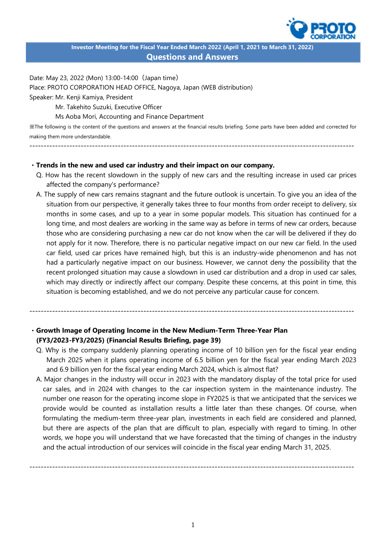

**Investor Meeting for the Fiscal Year Ended March 2022 (April 1, 2021 to March 31, 2022) Questions and Answers**

Date: May 23, 2022 (Mon) 13:00-14:00(Japan time) Place: PROTO CORPORATION HEAD OFFICE, Nagoya, Japan (WEB distribution) Speaker: Mr. Kenji Kamiya, President

Mr. Takehito Suzuki, Executive Officer

Ms Aoba Mori, Accounting and Finance Department

※The following is the content of the questions and answers at the financial results briefing. Some parts have been added and corrected for making them more understandable.

------------------------------------------------------------------------------------------------------------------

## ・**Trends in the new and used car industry and their impact on our company.**

- Q. How has the recent slowdown in the supply of new cars and the resulting increase in used car prices affected the company's performance?
- A. The supply of new cars remains stagnant and the future outlook is uncertain. To give you an idea of the situation from our perspective, it generally takes three to four months from order receipt to delivery, six months in some cases, and up to a year in some popular models. This situation has continued for a long time, and most dealers are working in the same way as before in terms of new car orders, because those who are considering purchasing a new car do not know when the car will be delivered if they do not apply for it now. Therefore, there is no particular negative impact on our new car field. In the used car field, used car prices have remained high, but this is an industry-wide phenomenon and has not had a particularly negative impact on our business. However, we cannot deny the possibility that the recent prolonged situation may cause a slowdown in used car distribution and a drop in used car sales, which may directly or indirectly affect our company. Despite these concerns, at this point in time, this situation is becoming established, and we do not perceive any particular cause for concern.

## ・**Growth Image of Operating Income in the New Medium-Term Three-Year Plan (FY3/2023-FY3/2025) (Financial Results Briefing, page 39)**

Q. Why is the company suddenly planning operating income of 10 billion yen for the fiscal year ending March 2025 when it plans operating income of 6.5 billion yen for the fiscal year ending March 2023 and 6.9 billion yen for the fiscal year ending March 2024, which is almost flat?

------------------------------------------------------------------------------------------------------------------

A. Major changes in the industry will occur in 2023 with the mandatory display of the total price for used car sales, and in 2024 with changes to the car inspection system in the maintenance industry. The number one reason for the operating income slope in FY2025 is that we anticipated that the services we provide would be counted as installation results a little later than these changes. Of course, when formulating the medium-term three-year plan, investments in each field are considered and planned, but there are aspects of the plan that are difficult to plan, especially with regard to timing. In other words, we hope you will understand that we have forecasted that the timing of changes in the industry and the actual introduction of our services will coincide in the fiscal year ending March 31, 2025.

------------------------------------------------------------------------------------------------------------------